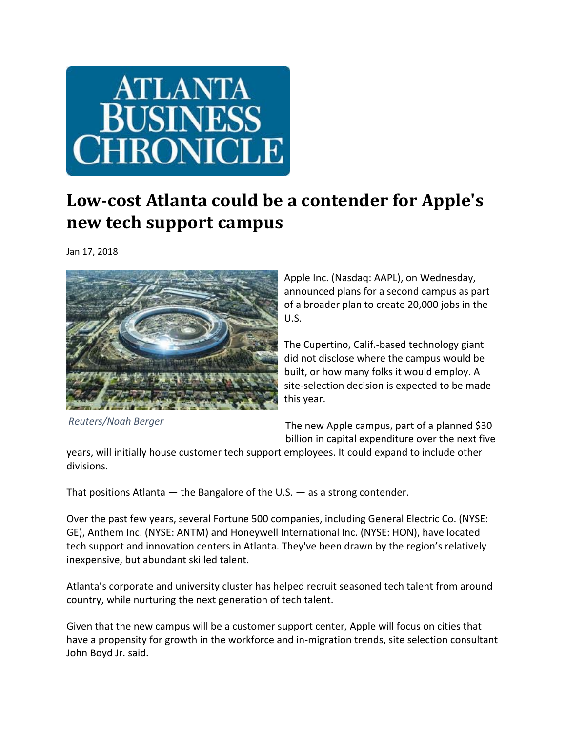

## **Low‐cost Atlanta could be a contender for Apple's new tech support campus**

Jan 17, 2018



Apple Inc. (Nasdaq: AAPL), on Wednesday, announced plans for a second campus as part of a broader plan to create 20,000 jobs in the U.S.

The Cupertino, Calif.‐based technology giant did not disclose where the campus would be built, or how many folks it would employ. A site‐selection decision is expected to be made this year.

*Reuters/Noah Berger*

The new Apple campus, part of a planned \$30 billion in capital expenditure over the next five

years, will initially house customer tech support employees. It could expand to include other divisions.

That positions Atlanta — the Bangalore of the U.S. — as a strong contender.

Over the past few years, several Fortune 500 companies, including General Electric Co. (NYSE: GE), Anthem Inc. (NYSE: ANTM) and Honeywell International Inc. (NYSE: HON), have located tech support and innovation centers in Atlanta. They've been drawn by the region's relatively inexpensive, but abundant skilled talent.

Atlanta's corporate and university cluster has helped recruit seasoned tech talent from around country, while nurturing the next generation of tech talent.

Given that the new campus will be a customer support center, Apple will focus on cities that have a propensity for growth in the workforce and in-migration trends, site selection consultant John Boyd Jr. said.